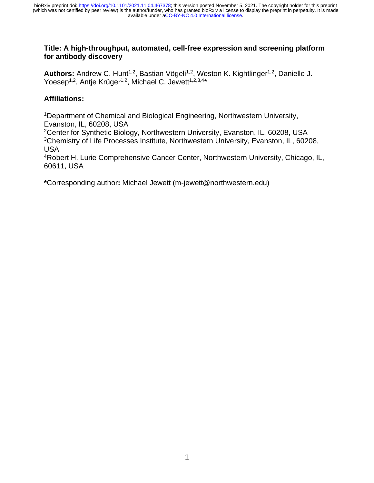### **Title: A high-throughput, automated, cell-free expression and screening platform for antibody discovery**

Authors: Andrew C. Hunt<sup>1,2</sup>, Bastian Vögeli<sup>1,2</sup>, Weston K. Kightlinger<sup>1,2</sup>, Danielle J. Yoesep<sup>1,2</sup>, Antje Krüger<sup>1,2</sup>, Michael C. Jewett<sup>1,2,3,4\*</sup>

### **Affiliations:**

<sup>1</sup>Department of Chemical and Biological Engineering, Northwestern University, Evanston, IL, 60208, USA

<sup>2</sup>Center for Synthetic Biology, Northwestern University, Evanston, IL, 60208, USA <sup>3</sup>Chemistry of Life Processes Institute, Northwestern University, Evanston, IL, 60208, USA

<sup>4</sup>Robert H. Lurie Comprehensive Cancer Center, Northwestern University, Chicago, IL, 60611, USA

**\***Corresponding author**:** Michael Jewett (m-jewett@northwestern.edu)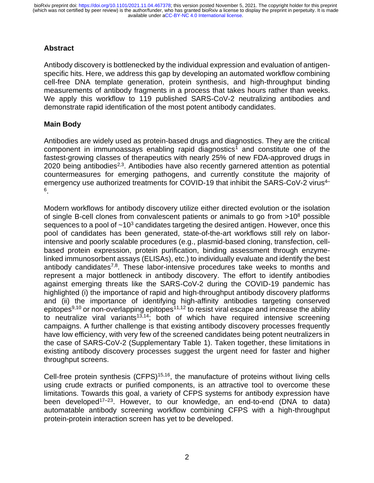# **Abstract**

Antibody discovery is bottlenecked by the individual expression and evaluation of antigenspecific hits. Here, we address this gap by developing an automated workflow combining cell-free DNA template generation, protein synthesis, and high-throughput binding measurements of antibody fragments in a process that takes hours rather than weeks. We apply this workflow to 119 published SARS-CoV-2 neutralizing antibodies and demonstrate rapid identification of the most potent antibody candidates.

### **Main Body**

Antibodies are widely used as protein-based drugs and diagnostics. They are the critical component in immunoassays enabling rapid diagnostics<sup>1</sup> and constitute one of the fastest-growing classes of therapeutics with nearly 25% of new FDA-approved drugs in 2020 being antibodies<sup>2,3</sup>. Antibodies have also recently garnered attention as potential countermeasures for emerging pathogens, and currently constitute the majority of emergency use authorized treatments for COVID-19 that inhibit the SARS-CoV-2 virus<sup>4–</sup> 6 .

Modern workflows for antibody discovery utilize either directed evolution or the isolation of single B-cell clones from convalescent patients or animals to go from  $>10^8$  possible sequences to a pool of  $\sim 10^3$  candidates targeting the desired antigen. However, once this pool of candidates has been generated, state-of-the-art workflows still rely on laborintensive and poorly scalable procedures (e.g., plasmid-based cloning, transfection, cellbased protein expression, protein purification, binding assessment through enzymelinked immunosorbent assays (ELISAs), etc.) to individually evaluate and identify the best antibody candidates<sup>7,8</sup>. These labor-intensive procedures take weeks to months and represent a major bottleneck in antibody discovery. The effort to identify antibodies against emerging threats like the SARS-CoV-2 during the COVID-19 pandemic has highlighted (i) the importance of rapid and high-throughput antibody discovery platforms and (ii) the importance of identifying high-affinity antibodies targeting conserved epitopes $9,10$  or non-overlapping epitopes $11,12$  to resist viral escape and increase the ability to neutralize viral variants<sup>13,14</sup>; both of which have required intensive screening campaigns. A further challenge is that existing antibody discovery processes frequently have low efficiency, with very few of the screened candidates being potent neutralizers in the case of SARS-CoV-2 (Supplementary Table 1). Taken together, these limitations in existing antibody discovery processes suggest the urgent need for faster and higher throughput screens.

Cell-free protein synthesis (CFPS)<sup>15,16</sup>, the manufacture of proteins without living cells using crude extracts or purified components, is an attractive tool to overcome these limitations. Towards this goal, a variety of CFPS systems for antibody expression have been developed<sup>17-23</sup>. However, to our knowledge, an end-to-end (DNA to data) automatable antibody screening workflow combining CFPS with a high-throughput protein-protein interaction screen has yet to be developed.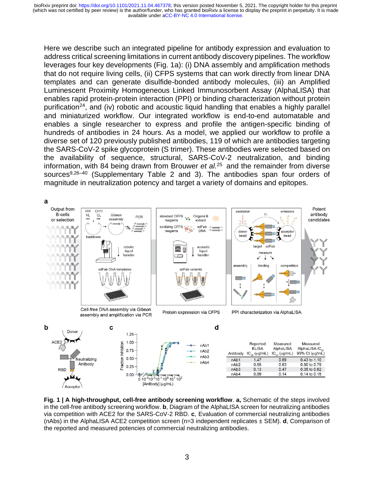Here we describe such an integrated pipeline for antibody expression and evaluation to address critical screening limitations in current antibody discovery pipelines. The workflow leverages four key developments (Fig. 1a): (i) DNA assembly and amplification methods that do not require living cells, (ii) CFPS systems that can work directly from linear DNA templates and can generate disulfide-bonded antibody molecules, (iii) an Amplified Luminescent Proximity Homogeneous Linked Immunosorbent Assay (AlphaLISA) that enables rapid protein-protein interaction (PPI) or binding characterization without protein purification<sup>24</sup>, and (iv) robotic and acoustic liquid handling that enables a highly parallel and miniaturized workflow. Our integrated workflow is end-to-end automatable and enables a single researcher to express and profile the antigen-specific binding of hundreds of antibodies in 24 hours. As a model, we applied our workflow to profile a diverse set of 120 previously published antibodies, 119 of which are antibodies targeting the SARS-CoV-2 spike glycoprotein (S trimer). These antibodies were selected based on the availability of sequence, structural, SARS-CoV-2 neutralization, and binding information, with 84 being drawn from Brouwer *et al.* <sup>25</sup> and the remainder from diverse sources<sup>9,26–40</sup> (Supplementary Table 2 and 3). The antibodies span four orders of magnitude in neutralization potency and target a variety of domains and epitopes.



**Fig. 1 | A high-throughput, cell-free antibody screening workflow**. **a,** Schematic of the steps involved in the cell-free antibody screening workflow. **b**, Diagram of the AlphaLISA screen for neutralizing antibodies via competition with ACE2 for the SARS-CoV-2 RBD. **c**, Evaluation of commercial neutralizing antibodies (nAbs) in the AlphaLISA ACE2 competition screen (n=3 independent replicates ± SEM). **d**, Comparison of the reported and measured potencies of commercial neutralizing antibodies.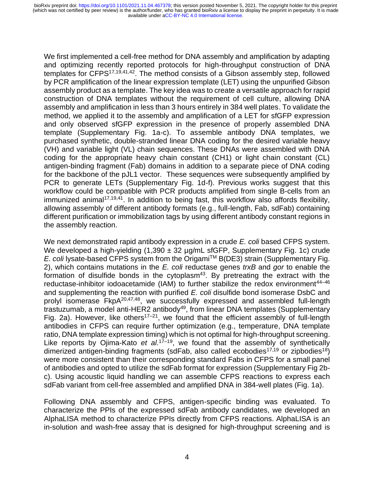We first implemented a cell-free method for DNA assembly and amplification by adapting and optimizing recently reported protocols for high-throughput construction of DNA templates for CFPS $17,19,41,42$ . The method consists of a Gibson assembly step, followed by PCR amplification of the linear expression template (LET) using the unpurified Gibson assembly product as a template. The key idea was to create a versatile approach for rapid construction of DNA templates without the requirement of cell culture, allowing DNA assembly and amplification in less than 3 hours entirely in 384 well plates. To validate the method, we applied it to the assembly and amplification of a LET for sfGFP expression and only observed sfGFP expression in the presence of properly assembled DNA template (Supplementary Fig. 1a-c). To assemble antibody DNA templates, we purchased synthetic, double-stranded linear DNA coding for the desired variable heavy (VH) and variable light (VL) chain sequences. These DNAs were assembled with DNA coding for the appropriate heavy chain constant (CH1) or light chain constant (CL) antigen-binding fragment (Fab) domains in addition to a separate piece of DNA coding for the backbone of the pJL1 vector. These sequences were subsequently amplified by PCR to generate LETs (Supplementary Fig. 1d-f). Previous works suggest that this workflow could be compatible with PCR products amplified from single B-cells from an immunized animal<sup>17,19,41</sup>. In addition to being fast, this workflow also affords flexibility, allowing assembly of different antibody formats (e.g., full-length, Fab, sdFab) containing different purification or immobilization tags by using different antibody constant regions in the assembly reaction.

We next demonstrated rapid antibody expression in a crude *E. coli* based CFPS system. We developed a high-yielding  $(1,390 \pm 32 \mu g/mL$  sfGFP, Supplementary Fig. 1c) crude *E. coli* lysate-based CFPS system from the Origami™ B(DE3) strain (Supplementary Fig. 2), which contains mutations in the *E. coli* reductase genes *trxB* and *gor* to enable the formation of disulfide bonds in the cytoplasm $43$ . By pretreating the extract with the reductase-inhibitor iodoacetamide (IAM) to further stabilize the redox environment<sup>44-46</sup> and supplementing the reaction with purified *E. coli* disulfide bond isomerase DsbC and prolyl isomerase FkpA20,47,48, we successfully expressed and assembled full-length trastuzumab, a model anti-HER2 antibody<sup>49</sup>, from linear DNA templates (Supplementary Fig. 2a). However, like others<sup>17–21</sup>, we found that the efficient assembly of full-length antibodies in CFPS can require further optimization (e.g., temperature, DNA template ratio, DNA template expression timing) which is not optimal for high-throughput screening. Like reports by Ojima-Kato *et al.*<sup>17–19</sup>, we found that the assembly of synthetically dimerized antigen-binding fragments (sdFab, also called ecobodies<sup>17,19</sup> or zipbodies<sup>18</sup>) were more consistent than their corresponding standard Fabs in CFPS for a small panel of antibodies and opted to utilize the sdFab format for expression (Supplementary Fig 2bc). Using acoustic liquid handling we can assemble CFPS reactions to express each sdFab variant from cell-free assembled and amplified DNA in 384-well plates (Fig. 1a).

Following DNA assembly and CFPS, antigen-specific binding was evaluated. To characterize the PPIs of the expressed sdFab antibody candidates, we developed an AlphaLISA method to characterize PPIs directly from CFPS reactions. AlphaLISA is an in-solution and wash-free assay that is designed for high-throughput screening and is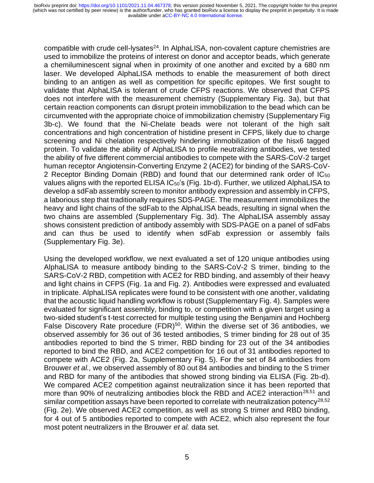compatible with crude cell-lysates<sup>24</sup>. In AlphaLISA, non-covalent capture chemistries are used to immobilize the proteins of interest on donor and acceptor beads, which generate a chemiluminescent signal when in proximity of one another and excited by a 680 nm laser. We developed AlphaLISA methods to enable the measurement of both direct binding to an antigen as well as competition for specific epitopes. We first sought to validate that AlphaLISA is tolerant of crude CFPS reactions. We observed that CFPS does not interfere with the measurement chemistry (Supplementary Fig. 3a), but that certain reaction components can disrupt protein immobilization to the bead which can be circumvented with the appropriate choice of immobilization chemistry (Supplementary Fig 3b-c). We found that the Ni-Chelate beads were not tolerant of the high salt concentrations and high concentration of histidine present in CFPS, likely due to charge screening and Ni chelation respectively hindering immobilization of the hisx6 tagged protein. To validate the ability of AlphaLISA to profile neutralizing antibodies, we tested the ability of five different commercial antibodies to compete with the SARS-CoV-2 target human receptor Angiotensin-Converting Enzyme 2 (ACE2) for binding of the SARS-CoV-2 Receptor Binding Domain (RBD) and found that our determined rank order of IC<sub>50</sub> values aligns with the reported ELISA IC<sub>50</sub>'s (Fig. 1b-d). Further, we utilized AlphaLISA to develop a sdFab assembly screen to monitor antibody expression and assembly in CFPS, a laborious step that traditionally requires SDS-PAGE. The measurement immobilizes the heavy and light chains of the sdFab to the AlphaLISA beads, resulting in signal when the two chains are assembled (Supplementary Fig. 3d). The AlphaLISA assembly assay shows consistent prediction of antibody assembly with SDS-PAGE on a panel of sdFabs and can thus be used to identify when sdFab expression or assembly fails (Supplementary Fig. 3e).

Using the developed workflow, we next evaluated a set of 120 unique antibodies using AlphaLISA to measure antibody binding to the SARS-CoV-2 S trimer, binding to the SARS-CoV-2 RBD, competition with ACE2 for RBD binding, and assembly of their heavy and light chains in CFPS (Fig. 1a and Fig. 2). Antibodies were expressed and evaluated in triplicate. AlphaLISA replicates were found to be consistent with one another, validating that the acoustic liquid handling workflow is robust (Supplementary Fig. 4). Samples were evaluated for significant assembly, binding to, or competition with a given target using a two-sided student's t-test corrected for multiple testing using the Benjamini and Hochberg False Discovery Rate procedure (FDR)<sup>50</sup>. Within the diverse set of 36 antibodies, we observed assembly for 36 out of 36 tested antibodies, S trimer binding for 28 out of 35 antibodies reported to bind the S trimer, RBD binding for 23 out of the 34 antibodies reported to bind the RBD, and ACE2 competition for 16 out of 31 antibodies reported to compete with ACE2 (Fig. 2a, Supplementary Fig. 5). For the set of 84 antibodies from Brouwer *et al.,* we observed assembly of 80 out 84 antibodies and binding to the S trimer and RBD for many of the antibodies that showed strong binding via ELISA (Fig. 2b-d). We compared ACE2 competition against neutralization since it has been reported that more than 90% of neutralizing antibodies block the RBD and ACE2 interaction<sup>28,51</sup> and similar competition assays have been reported to correlate with neutralization potency<sup>28,52</sup> (Fig. 2e). We observed ACE2 competition, as well as strong S trimer and RBD binding, for 4 out of 5 antibodies reported to compete with ACE2, which also represent the four most potent neutralizers in the Brouwer *et al.* data set.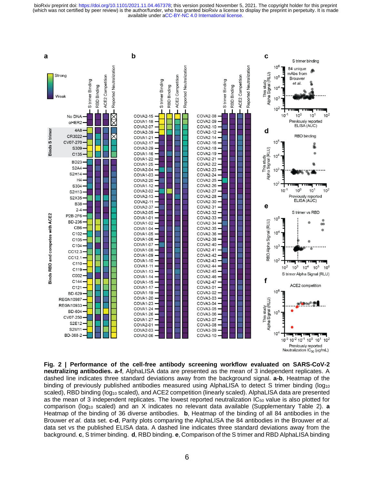available under [aCC-BY-NC 4.0 International license.](http://creativecommons.org/licenses/by-nc/4.0/) (which was not certified by peer review) is the author/funder, who has granted bioRxiv a license to display the preprint in perpetuity. It is made bioRxiv preprint doi: [https://doi.org/10.1101/2021.11.04.467378;](https://doi.org/10.1101/2021.11.04.467378) this version posted November 5, 2021. The copyright holder for this preprint



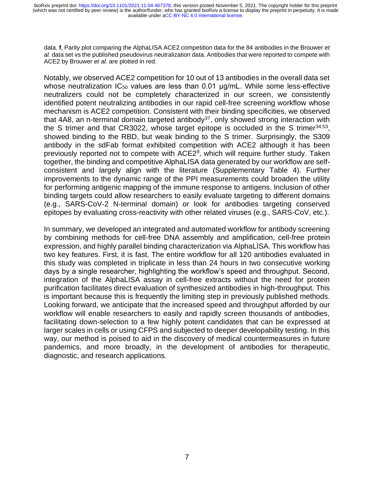data. **f**, Parity plot comparing the AlphaLISA ACE2 competition data for the 84 antibodies in the Brouwer *et al.* data set vs the published pseudovirus neutralization data. Antibodies that were reported to compete with ACE2 by Brouwer *et al.* are plotted in red.

Notably, we observed ACE2 competition for 10 out of 13 antibodies in the overall data set whose neutralization  $IC_{50}$  values are less than 0.01  $\mu$ g/mL. While some less-effective neutralizers could not be completely characterized in our screen, we consistently identified potent neutralizing antibodies in our rapid cell-free screening workflow whose mechanism is ACE2 competition. Consistent with their binding specificities, we observed that 4A8, an n-terminal domain targeted antibody<sup>37</sup>, only showed strong interaction with the S trimer and that CR3022, whose target epitope is occluded in the S trimer<sup>34,53</sup>, showed binding to the RBD, but weak binding to the S trimer. Surprisingly, the S309 antibody in the sdFab format exhibited competition with ACE2 although it has been previously reported not to compete with ACE2<sup>9</sup>, which will require further study. Taken together, the binding and competitive AlphaLISA data generated by our workflow are selfconsistent and largely align with the literature (Supplementary Table 4). Further improvements to the dynamic range of the PPI measurements could broaden the utility for performing antigenic mapping of the immune response to antigens. Inclusion of other binding targets could allow researchers to easily evaluate targeting to different domains (e.g., SARS-CoV-2 N-terminal domain) or look for antibodies targeting conserved epitopes by evaluating cross-reactivity with other related viruses (e.g., SARS-CoV, etc.).

In summary, we developed an integrated and automated workflow for antibody screening by combining methods for cell-free DNA assembly and amplification, cell-free protein expression, and highly parallel binding characterization via AlphaLISA. This workflow has two key features. First, it is fast. The entire workflow for all 120 antibodies evaluated in this study was completed in triplicate in less than 24 hours in two consecutive working days by a single researcher, highlighting the workflow's speed and throughput. Second, integration of the AlphaLISA assay in cell-free extracts without the need for protein purification facilitates direct evaluation of synthesized antibodies in high-throughput. This is important because this is frequently the limiting step in previously published methods. Looking forward, we anticipate that the increased speed and throughput afforded by our workflow will enable researchers to easily and rapidly screen thousands of antibodies, facilitating down-selection to a few highly potent candidates that can be expressed at larger scales in cells or using CFPS and subjected to deeper developability testing. In this way, our method is poised to aid in the discovery of medical countermeasures in future pandemics, and more broadly, in the development of antibodies for therapeutic, diagnostic, and research applications.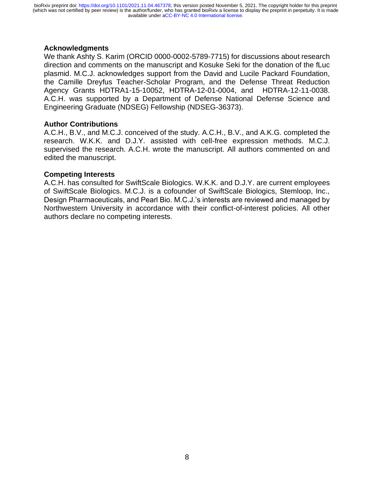### **Acknowledgments**

We thank Ashty S. Karim (ORCID 0000-0002-5789-7715) for discussions about research direction and comments on the manuscript and Kosuke Seki for the donation of the fLuc plasmid. M.C.J. acknowledges support from the David and Lucile Packard Foundation, the Camille Dreyfus Teacher-Scholar Program, and the Defense Threat Reduction Agency Grants HDTRA1-15-10052, HDTRA-12-01-0004, and HDTRA-12-11-0038. A.C.H. was supported by a Department of Defense National Defense Science and Engineering Graduate (NDSEG) Fellowship (NDSEG-36373).

### **Author Contributions**

A.C.H., B.V., and M.C.J. conceived of the study. A.C.H., B.V., and A.K.G. completed the research. W.K.K. and D.J.Y. assisted with cell-free expression methods. M.C.J. supervised the research. A.C.H. wrote the manuscript. All authors commented on and edited the manuscript.

#### **Competing Interests**

A.C.H. has consulted for SwiftScale Biologics. W.K.K. and D.J.Y. are current employees of SwiftScale Biologics. M.C.J. is a cofounder of SwiftScale Biologics, Stemloop, Inc., Design Pharmaceuticals, and Pearl Bio. M.C.J.'s interests are reviewed and managed by Northwestern University in accordance with their conflict-of-interest policies. All other authors declare no competing interests.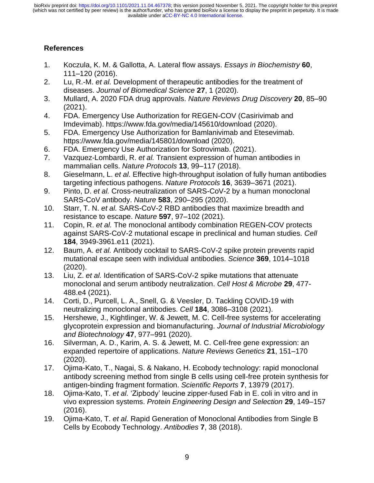available under [aCC-BY-NC 4.0 International license.](http://creativecommons.org/licenses/by-nc/4.0/) (which was not certified by peer review) is the author/funder, who has granted bioRxiv a license to display the preprint in perpetuity. It is made bioRxiv preprint doi: [https://doi.org/10.1101/2021.11.04.467378;](https://doi.org/10.1101/2021.11.04.467378) this version posted November 5, 2021. The copyright holder for this preprint

# **References**

- 1. Koczula, K. M. & Gallotta, A. Lateral flow assays. *Essays in Biochemistry* **60**, 111–120 (2016).
- 2. Lu, R.-M. *et al.* Development of therapeutic antibodies for the treatment of diseases. *Journal of Biomedical Science* **27**, 1 (2020).
- 3. Mullard, A. 2020 FDA drug approvals. *Nature Reviews Drug Discovery* **20**, 85–90 (2021).
- 4. FDA. Emergency Use Authorization for REGEN-COV (Casirivimab and Imdevimab). https://www.fda.gov/media/145610/download (2020).
- 5. FDA. Emergency Use Authorization for Bamlanivimab and Etesevimab. https://www.fda.gov/media/145801/download (2020).
- 6. FDA. Emergency Use Authorization for Sotrovimab. (2021).
- 7. Vazquez-Lombardi, R. *et al.* Transient expression of human antibodies in mammalian cells. *Nature Protocols* **13**, 99–117 (2018).
- 8. Gieselmann, L. *et al.* Effective high-throughput isolation of fully human antibodies targeting infectious pathogens. *Nature Protocols* **16**, 3639–3671 (2021).
- 9. Pinto, D. *et al.* Cross-neutralization of SARS-CoV-2 by a human monoclonal SARS-CoV antibody. *Nature* **583**, 290–295 (2020).
- 10. Starr, T. N. *et al.* SARS-CoV-2 RBD antibodies that maximize breadth and resistance to escape. *Nature* **597**, 97–102 (2021).
- 11. Copin, R. *et al.* The monoclonal antibody combination REGEN-COV protects against SARS-CoV-2 mutational escape in preclinical and human studies. *Cell* **184**, 3949-3961.e11 (2021).
- 12. Baum, A. *et al.* Antibody cocktail to SARS-CoV-2 spike protein prevents rapid mutational escape seen with individual antibodies. *Science* **369**, 1014–1018 (2020).
- 13. Liu, Z. *et al.* Identification of SARS-CoV-2 spike mutations that attenuate monoclonal and serum antibody neutralization. *Cell Host & Microbe* **29**, 477- 488.e4 (2021).
- 14. Corti, D., Purcell, L. A., Snell, G. & Veesler, D. Tackling COVID-19 with neutralizing monoclonal antibodies. *Cell* **184**, 3086–3108 (2021).
- 15. Hershewe, J., Kightlinger, W. & Jewett, M. C. Cell-free systems for accelerating glycoprotein expression and biomanufacturing. *Journal of Industrial Microbiology and Biotechnology* **47**, 977–991 (2020).
- 16. Silverman, A. D., Karim, A. S. & Jewett, M. C. Cell-free gene expression: an expanded repertoire of applications. *Nature Reviews Genetics* **21**, 151–170 (2020).
- 17. Ojima-Kato, T., Nagai, S. & Nakano, H. Ecobody technology: rapid monoclonal antibody screening method from single B cells using cell-free protein synthesis for antigen-binding fragment formation. *Scientific Reports* **7**, 13979 (2017).
- 18. Ojima-Kato, T. *et al.* 'Zipbody' leucine zipper-fused Fab in E. coli in vitro and in vivo expression systems. *Protein Engineering Design and Selection* **29**, 149–157 (2016).
- 19. Ojima-Kato, T. *et al.* Rapid Generation of Monoclonal Antibodies from Single B Cells by Ecobody Technology. *Antibodies* **7**, 38 (2018).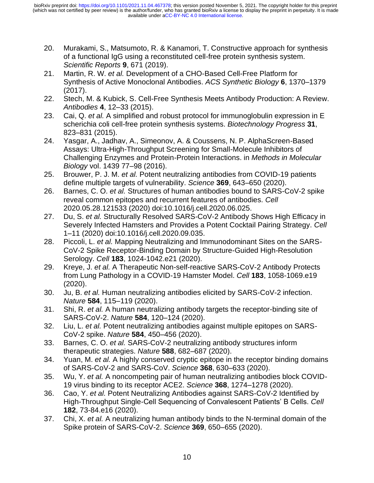- 20. Murakami, S., Matsumoto, R. & Kanamori, T. Constructive approach for synthesis of a functional IgG using a reconstituted cell-free protein synthesis system. *Scientific Reports* **9**, 671 (2019).
- 21. Martin, R. W. *et al.* Development of a CHO-Based Cell-Free Platform for Synthesis of Active Monoclonal Antibodies. *ACS Synthetic Biology* **6**, 1370–1379 (2017).
- 22. Stech, M. & Kubick, S. Cell-Free Synthesis Meets Antibody Production: A Review. *Antibodies* **4**, 12–33 (2015).
- 23. Cai, Q. *et al.* A simplified and robust protocol for immunoglobulin expression in E scherichia coli cell-free protein synthesis systems. *Biotechnology Progress* **31**, 823–831 (2015).
- 24. Yasgar, A., Jadhav, A., Simeonov, A. & Coussens, N. P. AlphaScreen-Based Assays: Ultra-High-Throughput Screening for Small-Molecule Inhibitors of Challenging Enzymes and Protein-Protein Interactions. in *Methods in Molecular Biology* vol. 1439 77–98 (2016).
- 25. Brouwer, P. J. M. *et al.* Potent neutralizing antibodies from COVID-19 patients define multiple targets of vulnerability. *Science* **369**, 643–650 (2020).
- 26. Barnes, C. O. *et al.* Structures of human antibodies bound to SARS-CoV-2 spike reveal common epitopes and recurrent features of antibodies. *Cell* 2020.05.28.121533 (2020) doi:10.1016/j.cell.2020.06.025.
- 27. Du, S. *et al.* Structurally Resolved SARS-CoV-2 Antibody Shows High Efficacy in Severely Infected Hamsters and Provides a Potent Cocktail Pairing Strategy. *Cell* 1–11 (2020) doi:10.1016/j.cell.2020.09.035.
- 28. Piccoli, L. *et al.* Mapping Neutralizing and Immunodominant Sites on the SARS-CoV-2 Spike Receptor-Binding Domain by Structure-Guided High-Resolution Serology. *Cell* **183**, 1024-1042.e21 (2020).
- 29. Kreye, J. *et al.* A Therapeutic Non-self-reactive SARS-CoV-2 Antibody Protects from Lung Pathology in a COVID-19 Hamster Model. *Cell* **183**, 1058-1069.e19 (2020).
- 30. Ju, B. *et al.* Human neutralizing antibodies elicited by SARS-CoV-2 infection. *Nature* **584**, 115–119 (2020).
- 31. Shi, R. *et al.* A human neutralizing antibody targets the receptor-binding site of SARS-CoV-2. *Nature* **584**, 120–124 (2020).
- 32. Liu, L. *et al.* Potent neutralizing antibodies against multiple epitopes on SARS-CoV-2 spike. *Nature* **584**, 450–456 (2020).
- 33. Barnes, C. O. *et al.* SARS-CoV-2 neutralizing antibody structures inform therapeutic strategies. *Nature* **588**, 682–687 (2020).
- 34. Yuan, M. *et al.* A highly conserved cryptic epitope in the receptor binding domains of SARS-CoV-2 and SARS-CoV. *Science* **368**, 630–633 (2020).
- 35. Wu, Y. *et al.* A noncompeting pair of human neutralizing antibodies block COVID-19 virus binding to its receptor ACE2. *Science* **368**, 1274–1278 (2020).
- 36. Cao, Y. *et al.* Potent Neutralizing Antibodies against SARS-CoV-2 Identified by High-Throughput Single-Cell Sequencing of Convalescent Patients' B Cells. *Cell* **182**, 73-84.e16 (2020).
- 37. Chi, X. *et al.* A neutralizing human antibody binds to the N-terminal domain of the Spike protein of SARS-CoV-2. *Science* **369**, 650–655 (2020).